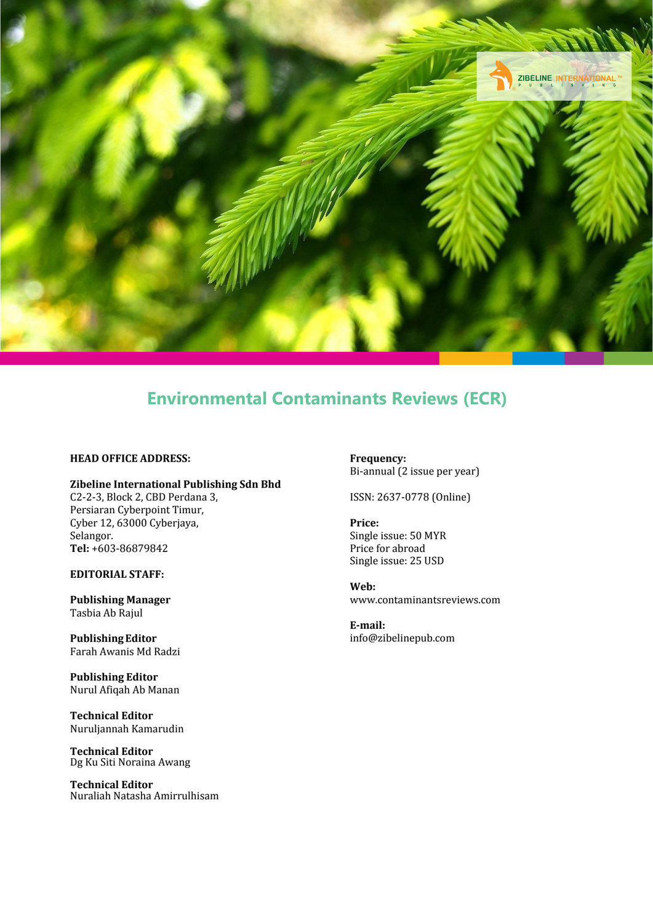

### **Environmental Contaminants Reviews (ECR)**

#### **HEAD OFFICE ADDRESS:**

#### **Zibeline International Publishing Sdn Bhd**

C2-2-3, Block 2, CBD Perdana 3, Persiaran Cyberpoint Timur, Cyber 12, 63000 Cyberjaya, Selangor. **Tel:** +603-86879842

**EDITORIAL STAFF:**

**Publishing Manager** Tasbia Ab Rajul

**Publishing Editor** Farah Awanis Md Radzi

**Publishing Editor** Nurul Afiqah Ab Manan

**Technical Editor** Nuruljannah Kamarudin

**Technical Editor** Dg Ku Siti Noraina Awang

**Technical Editor** Nuraliah Natasha Amirrulhisam **Frequency:** Bi-annual (2 issue per year)

ISSN: 2637-0778 (Online)

**Price:** Single issue: 50 MYR Price for abroad Single issue: 25 USD

**Web:** [www.contaminantsreviews.com](http://www.contaminantsreviews.com/)

**E-mail:** [info@zibelinepub.com](mailto:info@zibelinepub.com)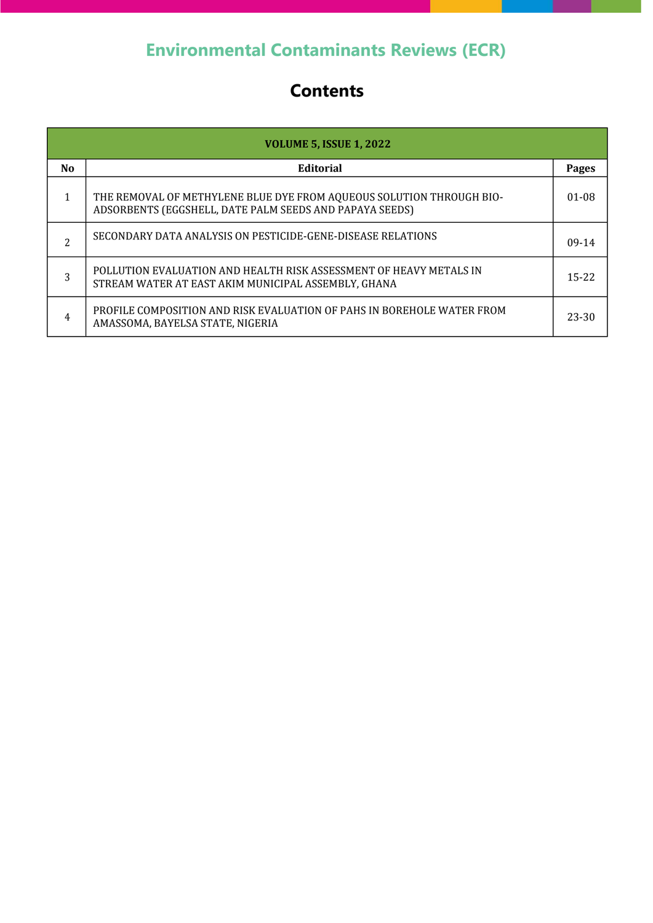# **Environmental Contaminants Reviews (ECR)**

## **Contents**

| <b>VOLUME 5, ISSUE 1, 2022</b> |                                                                                                                                 |           |
|--------------------------------|---------------------------------------------------------------------------------------------------------------------------------|-----------|
| N <sub>0</sub>                 | <b>Editorial</b>                                                                                                                | Pages     |
| 1                              | THE REMOVAL OF METHYLENE BLUE DYE FROM AQUEOUS SOLUTION THROUGH BIO-<br>ADSORBENTS (EGGSHELL, DATE PALM SEEDS AND PAPAYA SEEDS) | 01-08     |
| $\overline{c}$                 | SECONDARY DATA ANALYSIS ON PESTICIDE-GENE-DISEASE RELATIONS                                                                     | $09-14$   |
| 3                              | POLLUTION EVALUATION AND HEALTH RISK ASSESSMENT OF HEAVY METALS IN<br>STREAM WATER AT EAST AKIM MUNICIPAL ASSEMBLY, GHANA       | $15 - 22$ |
| 4                              | PROFILE COMPOSITION AND RISK EVALUATION OF PAHS IN BOREHOLE WATER FROM<br>AMASSOMA, BAYELSA STATE, NIGERIA                      | 23-30     |